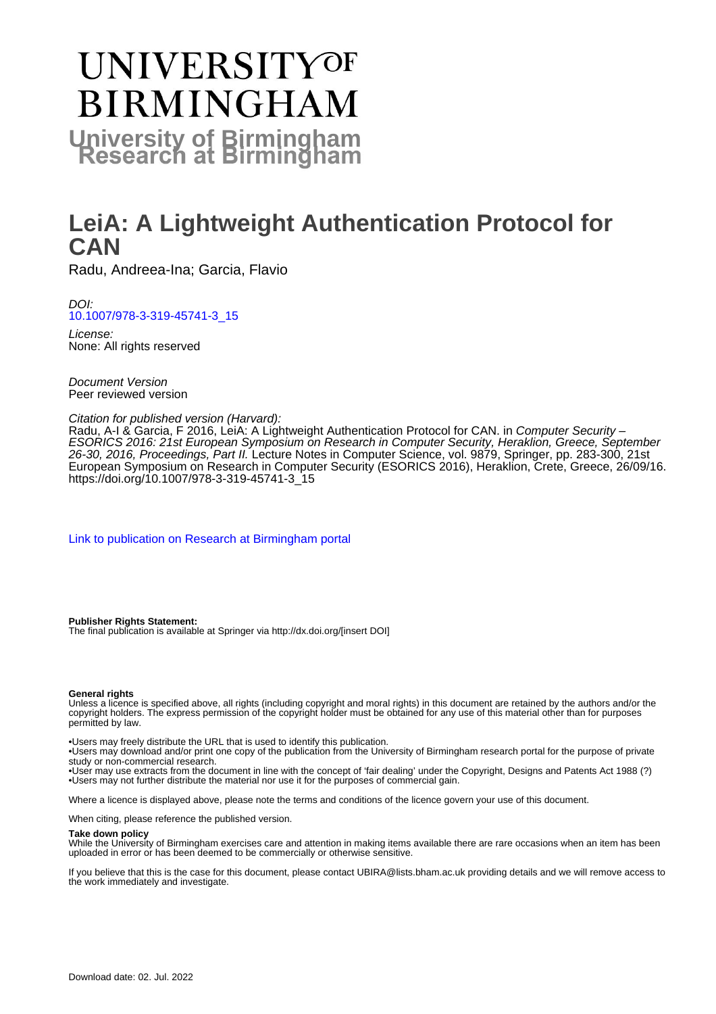# UNIVERSITYOF **BIRMINGHAM University of Birmingham**

## **LeiA: A Lightweight Authentication Protocol for CAN**

Radu, Andreea-Ina; Garcia, Flavio

DOI: [10.1007/978-3-319-45741-3\\_15](https://doi.org/10.1007/978-3-319-45741-3_15)

License: None: All rights reserved

Document Version Peer reviewed version

#### Citation for published version (Harvard):

Radu, A-I & Garcia, F 2016, LeiA: A Lightweight Authentication Protocol for CAN. in Computer Security – ESORICS 2016: 21st European Symposium on Research in Computer Security, Heraklion, Greece, September 26-30, 2016, Proceedings, Part II. Lecture Notes in Computer Science, vol. 9879, Springer, pp. 283-300, 21st European Symposium on Research in Computer Security (ESORICS 2016), Heraklion, Crete, Greece, 26/09/16. [https://doi.org/10.1007/978-3-319-45741-3\\_15](https://doi.org/10.1007/978-3-319-45741-3_15)

[Link to publication on Research at Birmingham portal](https://birmingham.elsevierpure.com/en/publications/2c2c9c6d-4a10-4e16-8f5a-e247a085b64a)

**Publisher Rights Statement:** The final publication is available at Springer via http://dx.doi.org/[insert DOI]

#### **General rights**

Unless a licence is specified above, all rights (including copyright and moral rights) in this document are retained by the authors and/or the copyright holders. The express permission of the copyright holder must be obtained for any use of this material other than for purposes permitted by law.

• Users may freely distribute the URL that is used to identify this publication.

• Users may download and/or print one copy of the publication from the University of Birmingham research portal for the purpose of private study or non-commercial research.

• User may use extracts from the document in line with the concept of 'fair dealing' under the Copyright, Designs and Patents Act 1988 (?) • Users may not further distribute the material nor use it for the purposes of commercial gain.

Where a licence is displayed above, please note the terms and conditions of the licence govern your use of this document.

When citing, please reference the published version.

#### **Take down policy**

While the University of Birmingham exercises care and attention in making items available there are rare occasions when an item has been uploaded in error or has been deemed to be commercially or otherwise sensitive.

If you believe that this is the case for this document, please contact UBIRA@lists.bham.ac.uk providing details and we will remove access to the work immediately and investigate.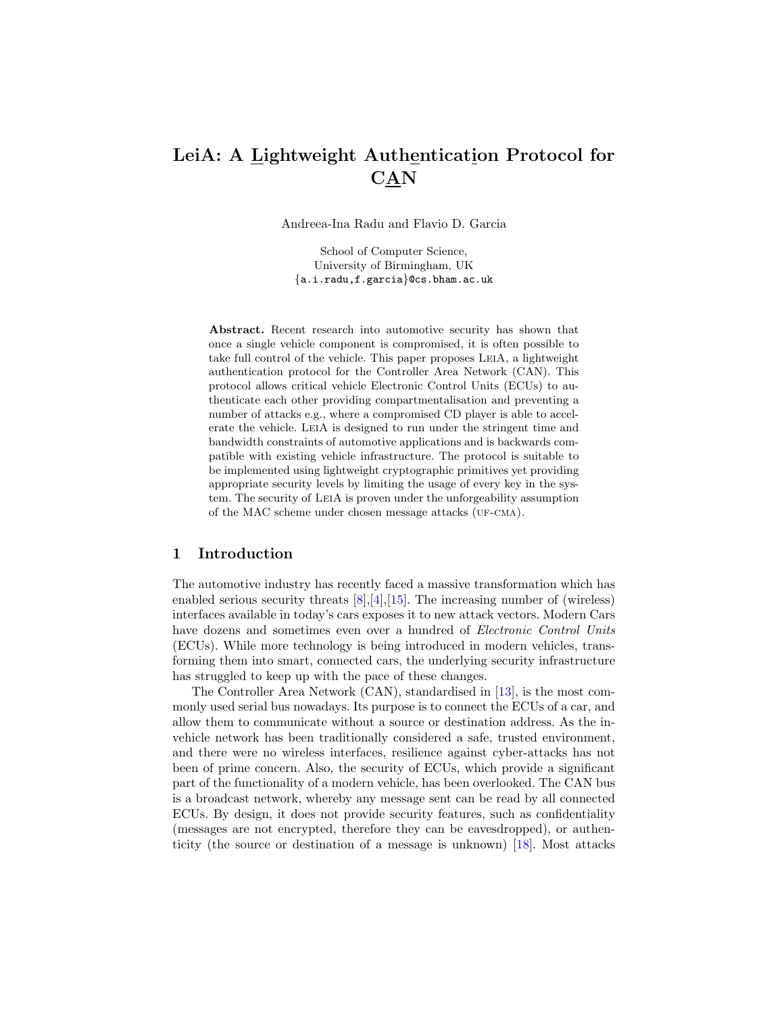### LeiA: A Lightweight Authentication Protocol for CAN

Andreea-Ina Radu and Flavio D. Garcia

School of Computer Science, University of Birmingham, UK {a.i.radu,f.garcia}@cs.bham.ac.uk

Abstract. Recent research into automotive security has shown that once a single vehicle component is compromised, it is often possible to take full control of the vehicle. This paper proposes LeiA, a lightweight authentication protocol for the Controller Area Network (CAN). This protocol allows critical vehicle Electronic Control Units (ECUs) to authenticate each other providing compartmentalisation and preventing a number of attacks e.g., where a compromised CD player is able to accelerate the vehicle. LeiA is designed to run under the stringent time and bandwidth constraints of automotive applications and is backwards compatible with existing vehicle infrastructure. The protocol is suitable to be implemented using lightweight cryptographic primitives yet providing appropriate security levels by limiting the usage of every key in the system. The security of LeiA is proven under the unforgeability assumption of the MAC scheme under chosen message attacks (uf-cma).

#### 1 Introduction

The automotive industry has recently faced a massive transformation which has enabled serious security threats  $[8], [4], [15]$  $[8], [4], [15]$  $[8], [4], [15]$  $[8], [4], [15]$  $[8], [4], [15]$ . The increasing number of (wireless) interfaces available in today's cars exposes it to new attack vectors. Modern Cars have dozens and sometimes even over a hundred of *Electronic Control Units* (ECUs). While more technology is being introduced in modern vehicles, transforming them into smart, connected cars, the underlying security infrastructure has struggled to keep up with the pace of these changes.

The Controller Area Network (CAN), standardised in [\[13\]](#page-18-1), is the most commonly used serial bus nowadays. Its purpose is to connect the ECUs of a car, and allow them to communicate without a source or destination address. As the invehicle network has been traditionally considered a safe, trusted environment, and there were no wireless interfaces, resilience against cyber-attacks has not been of prime concern. Also, the security of ECUs, which provide a significant part of the functionality of a modern vehicle, has been overlooked. The CAN bus is a broadcast network, whereby any message sent can be read by all connected ECUs. By design, it does not provide security features, such as confidentiality (messages are not encrypted, therefore they can be eavesdropped), or authenticity (the source or destination of a message is unknown) [\[18\]](#page-18-2). Most attacks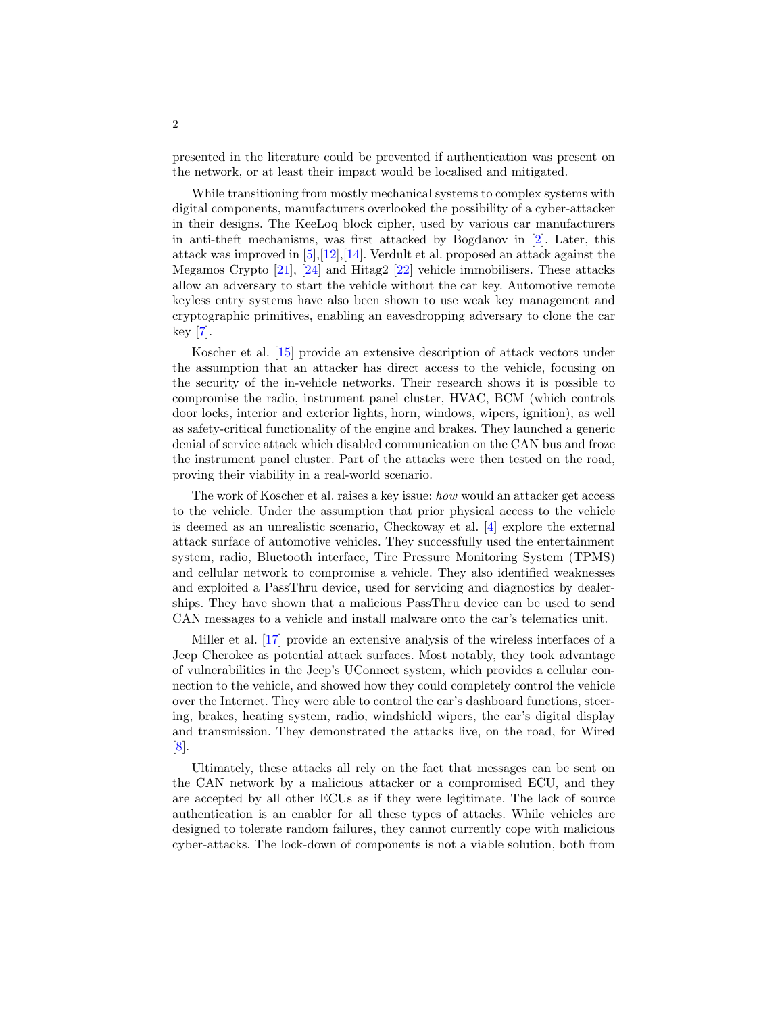presented in the literature could be prevented if authentication was present on the network, or at least their impact would be localised and mitigated.

While transitioning from mostly mechanical systems to complex systems with digital components, manufacturers overlooked the possibility of a cyber-attacker in their designs. The KeeLoq block cipher, used by various car manufacturers in anti-theft mechanisms, was first attacked by Bogdanov in [\[2\]](#page-17-2). Later, this attack was improved in [\[5\]](#page-17-3),[\[12\]](#page-18-3),[\[14\]](#page-18-4). Verdult et al. proposed an attack against the Megamos Crypto [\[21\]](#page-18-5), [\[24\]](#page-18-6) and Hitag2 [\[22\]](#page-18-7) vehicle immobilisers. These attacks allow an adversary to start the vehicle without the car key. Automotive remote keyless entry systems have also been shown to use weak key management and cryptographic primitives, enabling an eavesdropping adversary to clone the car key [\[7\]](#page-17-4).

Koscher et al. [\[15\]](#page-18-0) provide an extensive description of attack vectors under the assumption that an attacker has direct access to the vehicle, focusing on the security of the in-vehicle networks. Their research shows it is possible to compromise the radio, instrument panel cluster, HVAC, BCM (which controls door locks, interior and exterior lights, horn, windows, wipers, ignition), as well as safety-critical functionality of the engine and brakes. They launched a generic denial of service attack which disabled communication on the CAN bus and froze the instrument panel cluster. Part of the attacks were then tested on the road, proving their viability in a real-world scenario.

The work of Koscher et al. raises a key issue: how would an attacker get access to the vehicle. Under the assumption that prior physical access to the vehicle is deemed as an unrealistic scenario, Checkoway et al. [\[4\]](#page-17-1) explore the external attack surface of automotive vehicles. They successfully used the entertainment system, radio, Bluetooth interface, Tire Pressure Monitoring System (TPMS) and cellular network to compromise a vehicle. They also identified weaknesses and exploited a PassThru device, used for servicing and diagnostics by dealerships. They have shown that a malicious PassThru device can be used to send CAN messages to a vehicle and install malware onto the car's telematics unit.

Miller et al. [\[17\]](#page-18-8) provide an extensive analysis of the wireless interfaces of a Jeep Cherokee as potential attack surfaces. Most notably, they took advantage of vulnerabilities in the Jeep's UConnect system, which provides a cellular connection to the vehicle, and showed how they could completely control the vehicle over the Internet. They were able to control the car's dashboard functions, steering, brakes, heating system, radio, windshield wipers, the car's digital display and transmission. They demonstrated the attacks live, on the road, for Wired [\[8\]](#page-17-0).

Ultimately, these attacks all rely on the fact that messages can be sent on the CAN network by a malicious attacker or a compromised ECU, and they are accepted by all other ECUs as if they were legitimate. The lack of source authentication is an enabler for all these types of attacks. While vehicles are designed to tolerate random failures, they cannot currently cope with malicious cyber-attacks. The lock-down of components is not a viable solution, both from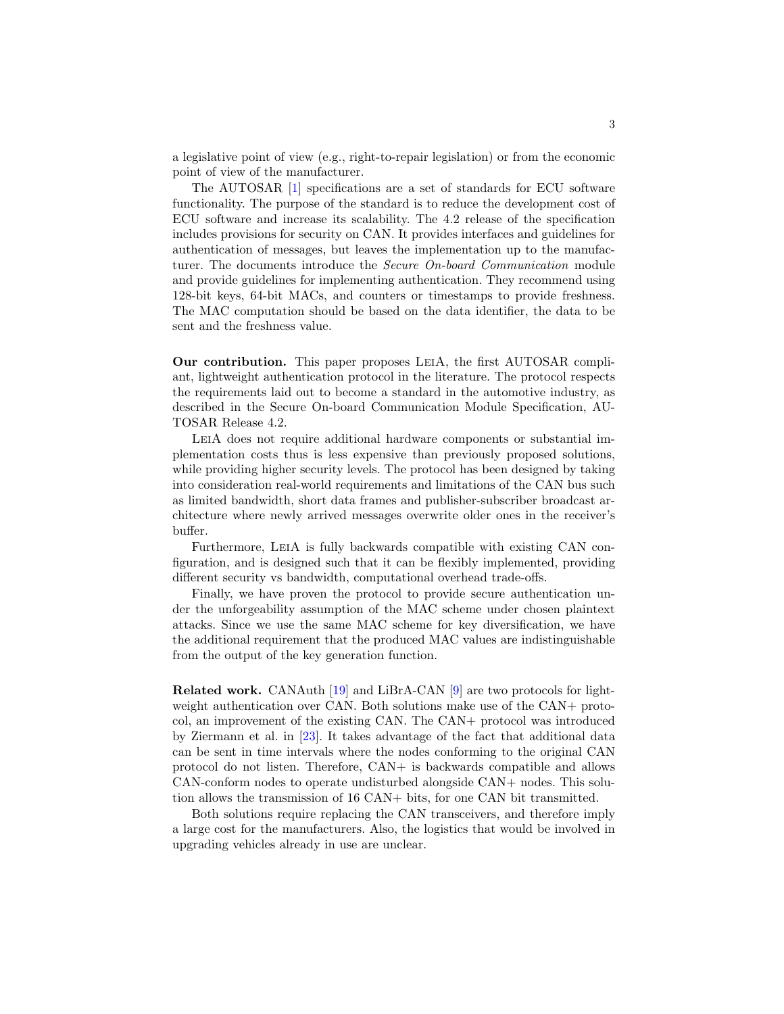a legislative point of view (e.g., right-to-repair legislation) or from the economic point of view of the manufacturer.

The AUTOSAR [\[1\]](#page-17-5) specifications are a set of standards for ECU software functionality. The purpose of the standard is to reduce the development cost of ECU software and increase its scalability. The 4.2 release of the specification includes provisions for security on CAN. It provides interfaces and guidelines for authentication of messages, but leaves the implementation up to the manufacturer. The documents introduce the Secure On-board Communication module and provide guidelines for implementing authentication. They recommend using 128-bit keys, 64-bit MACs, and counters or timestamps to provide freshness. The MAC computation should be based on the data identifier, the data to be sent and the freshness value.

Our contribution. This paper proposes LeiA, the first AUTOSAR compliant, lightweight authentication protocol in the literature. The protocol respects the requirements laid out to become a standard in the automotive industry, as described in the Secure On-board Communication Module Specification, AU-TOSAR Release 4.2.

LeiA does not require additional hardware components or substantial implementation costs thus is less expensive than previously proposed solutions, while providing higher security levels. The protocol has been designed by taking into consideration real-world requirements and limitations of the CAN bus such as limited bandwidth, short data frames and publisher-subscriber broadcast architecture where newly arrived messages overwrite older ones in the receiver's buffer.

Furthermore, LeiA is fully backwards compatible with existing CAN configuration, and is designed such that it can be flexibly implemented, providing different security vs bandwidth, computational overhead trade-offs.

Finally, we have proven the protocol to provide secure authentication under the unforgeability assumption of the MAC scheme under chosen plaintext attacks. Since we use the same MAC scheme for key diversification, we have the additional requirement that the produced MAC values are indistinguishable from the output of the key generation function.

Related work. CANAuth [\[19\]](#page-18-9) and LiBrA-CAN [\[9\]](#page-18-10) are two protocols for lightweight authentication over CAN. Both solutions make use of the CAN+ protocol, an improvement of the existing CAN. The CAN+ protocol was introduced by Ziermann et al. in [\[23\]](#page-18-11). It takes advantage of the fact that additional data can be sent in time intervals where the nodes conforming to the original CAN protocol do not listen. Therefore, CAN+ is backwards compatible and allows CAN-conform nodes to operate undisturbed alongside CAN+ nodes. This solution allows the transmission of 16 CAN+ bits, for one CAN bit transmitted.

Both solutions require replacing the CAN transceivers, and therefore imply a large cost for the manufacturers. Also, the logistics that would be involved in upgrading vehicles already in use are unclear.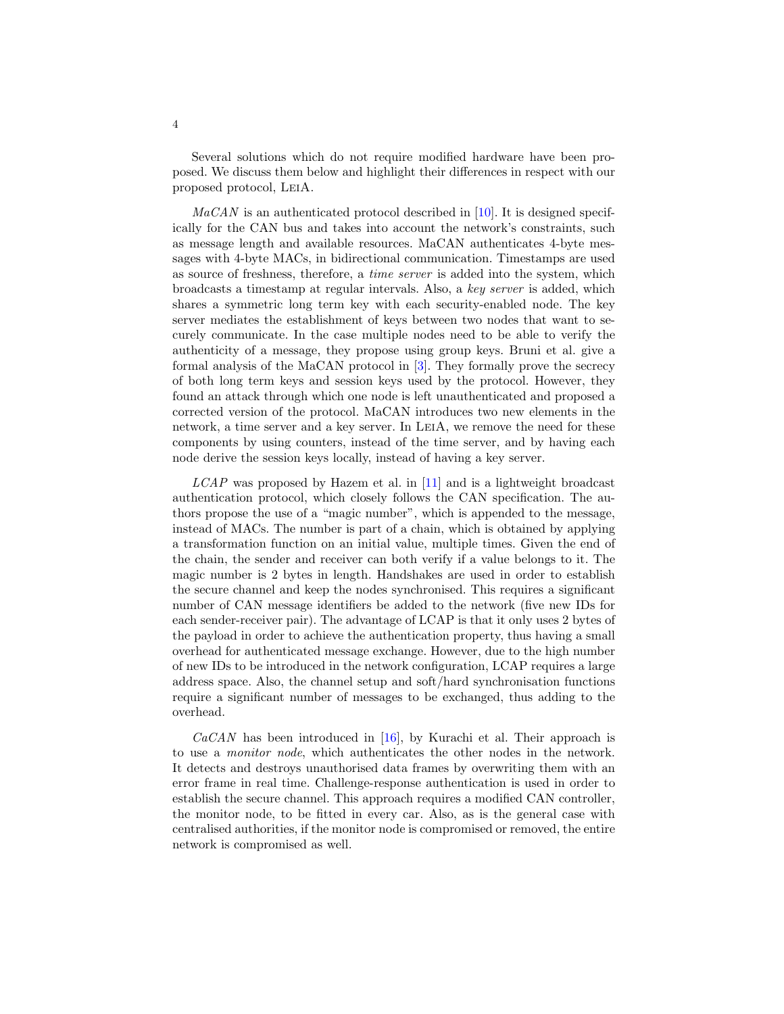Several solutions which do not require modified hardware have been proposed. We discuss them below and highlight their differences in respect with our proposed protocol, LeiA.

 $MaCAN$  is an authenticated protocol described in [\[10\]](#page-18-12). It is designed specifically for the CAN bus and takes into account the network's constraints, such as message length and available resources. MaCAN authenticates 4-byte messages with 4-byte MACs, in bidirectional communication. Timestamps are used as source of freshness, therefore, a time server is added into the system, which broadcasts a timestamp at regular intervals. Also, a key server is added, which shares a symmetric long term key with each security-enabled node. The key server mediates the establishment of keys between two nodes that want to securely communicate. In the case multiple nodes need to be able to verify the authenticity of a message, they propose using group keys. Bruni et al. give a formal analysis of the MaCAN protocol in [\[3\]](#page-17-6). They formally prove the secrecy of both long term keys and session keys used by the protocol. However, they found an attack through which one node is left unauthenticated and proposed a corrected version of the protocol. MaCAN introduces two new elements in the network, a time server and a key server. In LeiA, we remove the need for these components by using counters, instead of the time server, and by having each node derive the session keys locally, instead of having a key server.

 $LCAP$  was proposed by Hazem et al. in [\[11\]](#page-18-13) and is a lightweight broadcast authentication protocol, which closely follows the CAN specification. The authors propose the use of a "magic number", which is appended to the message, instead of MACs. The number is part of a chain, which is obtained by applying a transformation function on an initial value, multiple times. Given the end of the chain, the sender and receiver can both verify if a value belongs to it. The magic number is 2 bytes in length. Handshakes are used in order to establish the secure channel and keep the nodes synchronised. This requires a significant number of CAN message identifiers be added to the network (five new IDs for each sender-receiver pair). The advantage of LCAP is that it only uses 2 bytes of the payload in order to achieve the authentication property, thus having a small overhead for authenticated message exchange. However, due to the high number of new IDs to be introduced in the network configuration, LCAP requires a large address space. Also, the channel setup and soft/hard synchronisation functions require a significant number of messages to be exchanged, thus adding to the overhead.

 $CaCAN$  has been introduced in [\[16\]](#page-18-14), by Kurachi et al. Their approach is to use a monitor node, which authenticates the other nodes in the network. It detects and destroys unauthorised data frames by overwriting them with an error frame in real time. Challenge-response authentication is used in order to establish the secure channel. This approach requires a modified CAN controller, the monitor node, to be fitted in every car. Also, as is the general case with centralised authorities, if the monitor node is compromised or removed, the entire network is compromised as well.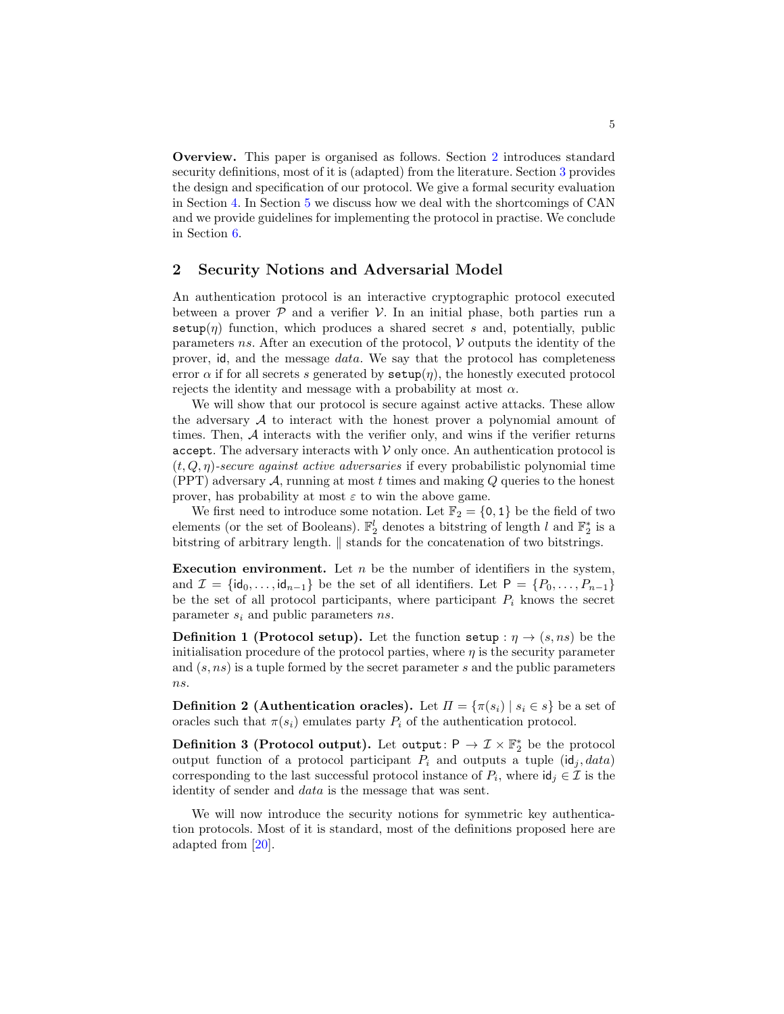Overview. This paper is organised as follows. Section [2](#page-5-0) introduces standard security definitions, most of it is (adapted) from the literature. Section [3](#page-7-0) provides the design and specification of our protocol. We give a formal security evaluation in Section [4.](#page-11-0) In Section [5](#page-12-0) we discuss how we deal with the shortcomings of CAN and we provide guidelines for implementing the protocol in practise. We conclude in Section [6.](#page-17-7)

#### <span id="page-5-0"></span>2 Security Notions and Adversarial Model

An authentication protocol is an interactive cryptographic protocol executed between a prover  $\mathcal P$  and a verifier  $\mathcal V$ . In an initial phase, both parties run a setup( $\eta$ ) function, which produces a shared secret s and, potentially, public parameters ns. After an execution of the protocol,  $V$  outputs the identity of the prover, id, and the message data. We say that the protocol has completeness error  $\alpha$  if for all secrets s generated by  $\texttt{setup}(\eta)$ , the honestly executed protocol rejects the identity and message with a probability at most  $\alpha$ .

We will show that our protocol is secure against active attacks. These allow the adversary  $A$  to interact with the honest prover a polynomial amount of times. Then,  $A$  interacts with the verifier only, and wins if the verifier returns accept. The adversary interacts with  $V$  only once. An authentication protocol is  $(t, Q, \eta)$ -secure against active adversaries if every probabilistic polynomial time (PPT) adversary  $A$ , running at most t times and making  $Q$  queries to the honest prover, has probability at most  $\varepsilon$  to win the above game.

We first need to introduce some notation. Let  $\mathbb{F}_2 = \{0, 1\}$  be the field of two elements (or the set of Booleans).  $\mathbb{F}_2^l$  denotes a bitstring of length l and  $\mathbb{F}_2^*$  is a bitstring of arbitrary length.  $\parallel$  stands for the concatenation of two bitstrings.

Execution environment. Let  $n$  be the number of identifiers in the system, and  $\mathcal{I} = \{\mathrm{id}_0, \ldots, \mathrm{id}_{n-1}\}\$  be the set of all identifiers. Let  $\mathsf{P} = \{P_0, \ldots, P_{n-1}\}\$ be the set of all protocol participants, where participant  $P_i$  knows the secret parameter  $s_i$  and public parameters *ns*.

**Definition 1 (Protocol setup).** Let the function setup :  $\eta \rightarrow (s, ns)$  be the initialisation procedure of the protocol parties, where  $\eta$  is the security parameter and  $(s, ns)$  is a tuple formed by the secret parameter s and the public parameters ns.

**Definition 2 (Authentication oracles).** Let  $\Pi = \{\pi(s_i) \mid s_i \in s\}$  be a set of oracles such that  $\pi(s_i)$  emulates party  $P_i$  of the authentication protocol.

Definition 3 (Protocol output). Let output:  $P \to \mathcal{I} \times \mathbb{F}_2^*$  be the protocol output function of a protocol participant  $P_i$  and outputs a tuple (id<sub>j</sub>, data) corresponding to the last successful protocol instance of  $P_i$ , where  $\mathsf{id}_j \in \mathcal{I}$  is the identity of sender and data is the message that was sent.

We will now introduce the security notions for symmetric key authentication protocols. Most of it is standard, most of the definitions proposed here are adapted from [\[20\]](#page-18-15).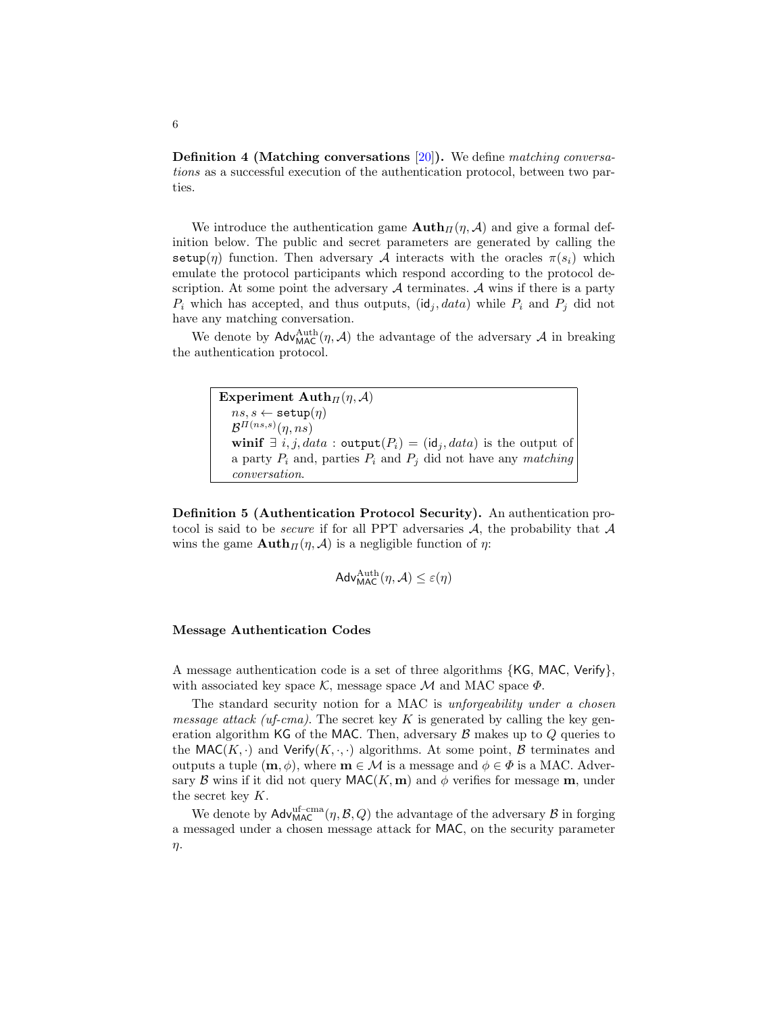Definition 4 (Matching conversations [\[20\]](#page-18-15)). We define matching conversations as a successful execution of the authentication protocol, between two parties.

We introduce the authentication game  $\text{Aut}_\Pi(\eta, \mathcal{A})$  and give a formal definition below. The public and secret parameters are generated by calling the setup( $\eta$ ) function. Then adversary A interacts with the oracles  $\pi(s_i)$  which emulate the protocol participants which respond according to the protocol description. At some point the adversary  $A$  terminates.  $A$  wins if there is a party  $P_i$  which has accepted, and thus outputs, (id<sub>i</sub>, data) while  $P_i$  and  $P_j$  did not have any matching conversation.

We denote by  $\mathsf{Adv}^{\mathsf{Auth}}_{\mathsf{MAC}}(\eta, \mathcal{A})$  the advantage of the adversary  $\mathcal{A}$  in breaking the authentication protocol.

> Experiment  $\text{Auth}_\Pi(\eta, \mathcal{A})$  $ns, s \leftarrow \mathtt{setup}(\eta)$  $\mathcal{B}^{II(ns,s)}(\eta,ns)$ winif  $\exists i, j, data : output(P_i) = (id_j, data)$  is the output of a party  $P_i$  and, parties  $P_i$  and  $P_j$  did not have any matching conversation.

<span id="page-6-0"></span>Definition 5 (Authentication Protocol Security). An authentication protocol is said to be *secure* if for all PPT adversaries  $A$ , the probability that  $A$ wins the game  $\text{Aut}_\Pi(\eta, \mathcal{A})$  is a negligible function of  $\eta$ :

$$
\mathsf{Adv}^{\mathrm{Auth}}_{\mathsf{MAC}}(\eta,\mathcal{A}) \leq \varepsilon(\eta)
$$

#### Message Authentication Codes

A message authentication code is a set of three algorithms {KG, MAC, Verify}, with associated key space K, message space M and MAC space  $\Phi$ .

The standard security notion for a MAC is unforgeability under a chosen *message attack (uf-cma)*. The secret key K is generated by calling the key generation algorithm KG of the MAC. Then, adversary  $\beta$  makes up to  $Q$  queries to the MAC( $K, \cdot$ ) and Verify( $K, \cdot, \cdot$ ) algorithms. At some point,  $\beta$  terminates and outputs a tuple  $(m, \phi)$ , where  $m \in \mathcal{M}$  is a message and  $\phi \in \Phi$  is a MAC. Adversary B wins if it did not query  $\mathsf{MAC}(K, \mathbf{m})$  and  $\phi$  verifies for message **m**, under the secret key  $K$ .

We denote by  $\mathsf{Adv}_{\mathsf{MAC}}^{\text{uf-cma}}(\eta, \mathcal{B}, Q)$  the advantage of the adversary  $\mathcal B$  in forging a messaged under a chosen message attack for MAC, on the security parameter η.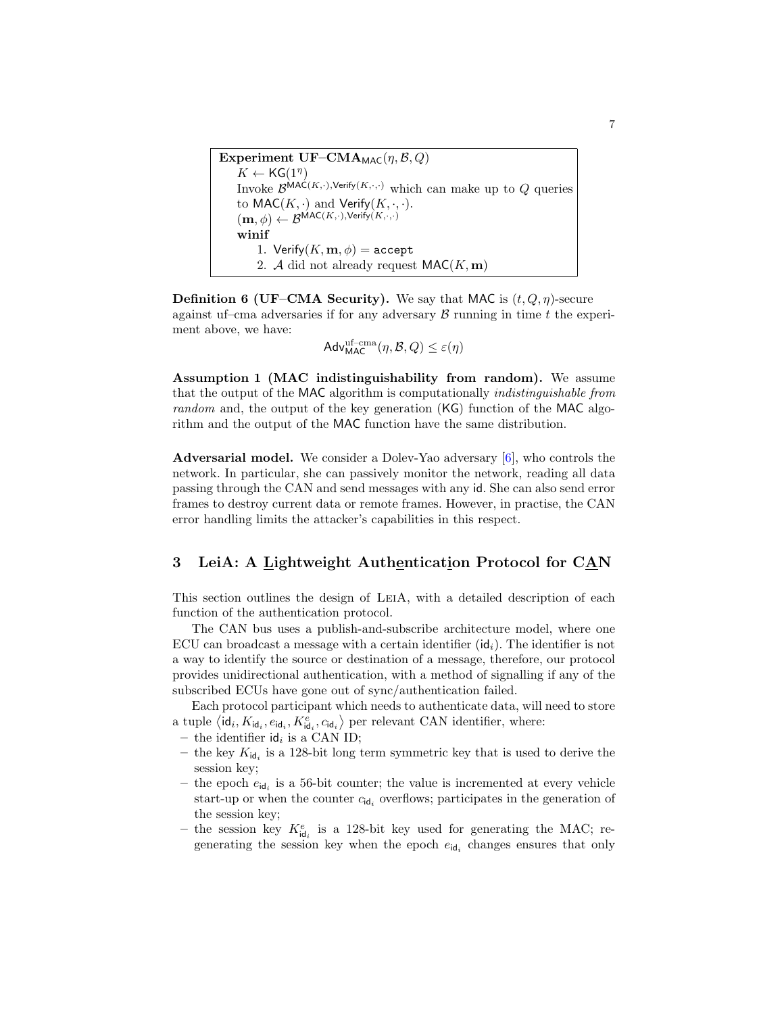Experiment UF–CMA<sub>MAC</sub> $(\eta, \mathcal{B}, Q)$  $K \leftarrow {\sf KG}(1^\eta)$ Invoke  $\mathcal{B}^{\textsf{MAC}(K,\cdot),\textsf{Verify}(K,\cdot,\cdot)}$  which can make up to Q queries to  $\mathsf{MAC}(K, \cdot)$  and  $\mathsf{Verify}(K, \cdot, \cdot)$ .  $(\mathbf{m}, \phi) \leftarrow \mathcal{B}^{\mathsf{MAC}(K, \cdot), \mathsf{Verify}(K, \cdot, \cdot)}$ winif 1. Verify $(K, \mathbf{m}, \phi) =$  accept 2. A did not already request  $\mathsf{MAC}(K, \mathbf{m})$ 

**Definition 6 (UF–CMA Security).** We say that MAC is  $(t, Q, \eta)$ -secure against uf–cma adversaries if for any adversary  $\beta$  running in time t the experiment above, we have:

 $\mathsf{Adv}_{\mathsf{MAC}}^{\mathsf{uf-cma}}(\eta,\mathcal{B},Q) \leq \varepsilon(\eta)$ 

<span id="page-7-1"></span>Assumption 1 (MAC indistinguishability from random). We assume that the output of the MAC algorithm is computationally indistinguishable from random and, the output of the key generation (KG) function of the MAC algorithm and the output of the MAC function have the same distribution.

Adversarial model. We consider a Dolev-Yao adversary [\[6\]](#page-17-8), who controls the network. In particular, she can passively monitor the network, reading all data passing through the CAN and send messages with any id. She can also send error frames to destroy current data or remote frames. However, in practise, the CAN error handling limits the attacker's capabilities in this respect.

#### <span id="page-7-0"></span>3 LeiA: A Lightweight Authentication Protocol for CAN

This section outlines the design of LeiA, with a detailed description of each function of the authentication protocol.

The CAN bus uses a publish-and-subscribe architecture model, where one ECU can broadcast a message with a certain identifier  $(id_i)$ . The identifier is not a way to identify the source or destination of a message, therefore, our protocol provides unidirectional authentication, with a method of signalling if any of the subscribed ECUs have gone out of sync/authentication failed.

Each protocol participant which needs to authenticate data, will need to store a tuple  $\langle id_i, K_{id_i}, e_{id_i}, K_{id_i}^e, c_{id_i} \rangle$  per relevant CAN identifier, where:

- the identifier  $\mathsf{id}_i$  is a CAN ID;
- the key  $K_{\mathsf{id}_i}$  is a 128-bit long term symmetric key that is used to derive the session key;
- the epoch  $e_{id_i}$  is a 56-bit counter; the value is incremented at every vehicle start-up or when the counter  $c_{\mathsf{id}_i}$  overflows; participates in the generation of the session key;
- the session key  $K^e_{\mathsf{id}_i}$  is a 128-bit key used for generating the MAC; regenerating the session key when the epoch  $e_{id_i}$  changes ensures that only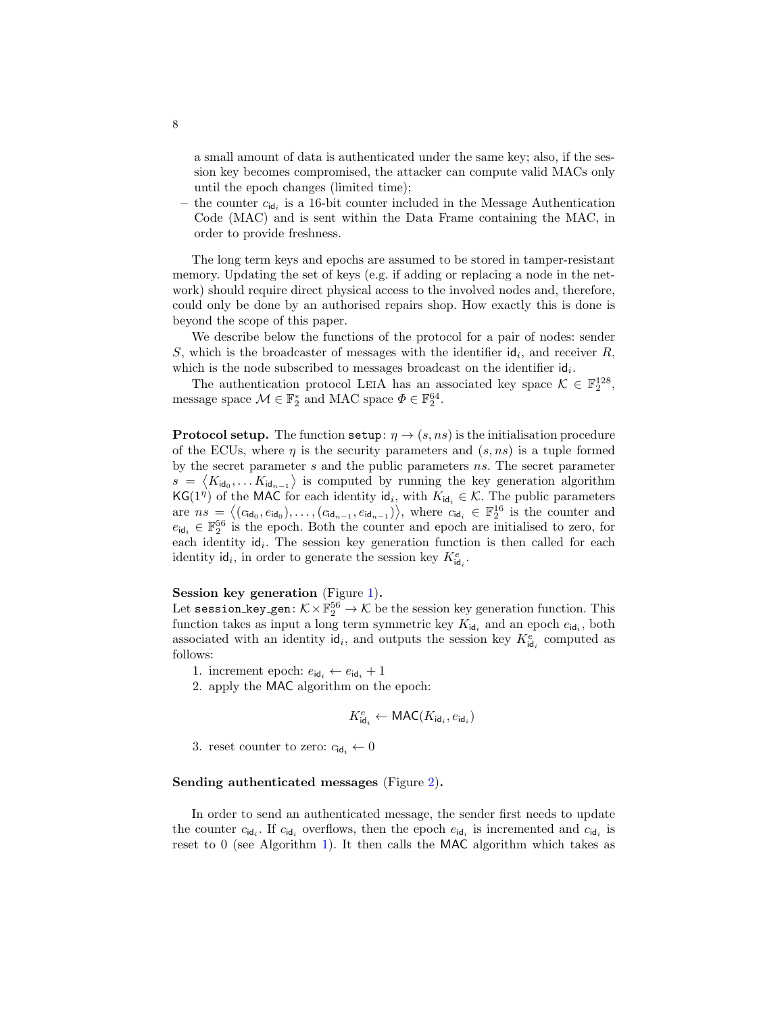a small amount of data is authenticated under the same key; also, if the session key becomes compromised, the attacker can compute valid MACs only until the epoch changes (limited time);

– the counter  $c_{id_i}$  is a 16-bit counter included in the Message Authentication Code (MAC) and is sent within the Data Frame containing the MAC, in order to provide freshness.

The long term keys and epochs are assumed to be stored in tamper-resistant memory. Updating the set of keys (e.g. if adding or replacing a node in the network) should require direct physical access to the involved nodes and, therefore, could only be done by an authorised repairs shop. How exactly this is done is beyond the scope of this paper.

We describe below the functions of the protocol for a pair of nodes: sender S, which is the broadcaster of messages with the identifier  $\mathsf{id}_i$ , and receiver R, which is the node subscribed to messages broadcast on the identifier  $id_i$ .

The authentication protocol LEIA has an associated key space  $\mathcal{K} \in \mathbb{F}_2^{128}$ , message space  $\mathcal{M} \in \mathbb{F}_2^*$  and MAC space  $\Phi \in \mathbb{F}_2^{64}$ .

**Protocol setup.** The function setup:  $\eta \rightarrow (s, ns)$  is the initialisation procedure of the ECUs, where  $\eta$  is the security parameters and  $(s, ns)$  is a tuple formed by the secret parameter  $s$  and the public parameters  $ns$ . The secret parameter  $s = \langle K_{\text{id}_0}, \ldots K_{\text{id}_{n-1}} \rangle$  is computed by running the key generation algorithm  $\mathsf{KG}(1^\eta)$  of the MAC for each identity  $\mathsf{id}_i$ , with  $K_{\mathsf{id}_i} \in \mathcal{K}$ . The public parameters are  $ns = \langle (c_{\mathsf{id}_0}, e_{\mathsf{id}_0}), \ldots, (c_{\mathsf{id}_{n-1}}, e_{\mathsf{id}_{n-1}}) \rangle$ , where  $c_{\mathsf{id}_i} \in \mathbb{F}_2^{16}$  is the counter and  $e_{id_i} \in \mathbb{F}_2^{56}$  is the epoch. Both the counter and epoch are initialised to zero, for each identity  $id_i$ . The session key generation function is then called for each identity  $\mathsf{id}_i$ , in order to generate the session key  $K^e_{\mathsf{id}_i}$ .

Session key generation (Figure [1\)](#page-9-0).

Let session key gen:  $K \times \mathbb{F}_2^{56} \to \mathcal{K}$  be the session key generation function. This function takes as input a long term symmetric key  $K_{\mathsf{id}_i}$  and an epoch  $e_{\mathsf{id}_i}$ , both associated with an identity  $\mathsf{id}_i$ , and outputs the session key  $K^e_{\mathsf{id}_i}$  computed as follows:

1. increment epoch:  $e_{id_i} \leftarrow e_{id_i} + 1$ 

2. apply the MAC algorithm on the epoch:

$$
K^e_{\mathrm{id}_i} \leftarrow \mathrm{MAC}(K_{\mathrm{id}_i}, e_{\mathrm{id}_i})
$$

3. reset counter to zero:  $c_{\mathsf{id}_i} \leftarrow 0$ 

#### Sending authenticated messages (Figure [2\)](#page-9-1).

In order to send an authenticated message, the sender first needs to update the counter  $c_{\mathsf{id}_i}$ . If  $c_{\mathsf{id}_i}$  overflows, then the epoch  $e_{\mathsf{id}_i}$  is incremented and  $c_{\mathsf{id}_i}$  is reset to 0 (see Algorithm [1\)](#page-10-0). It then calls the MAC algorithm which takes as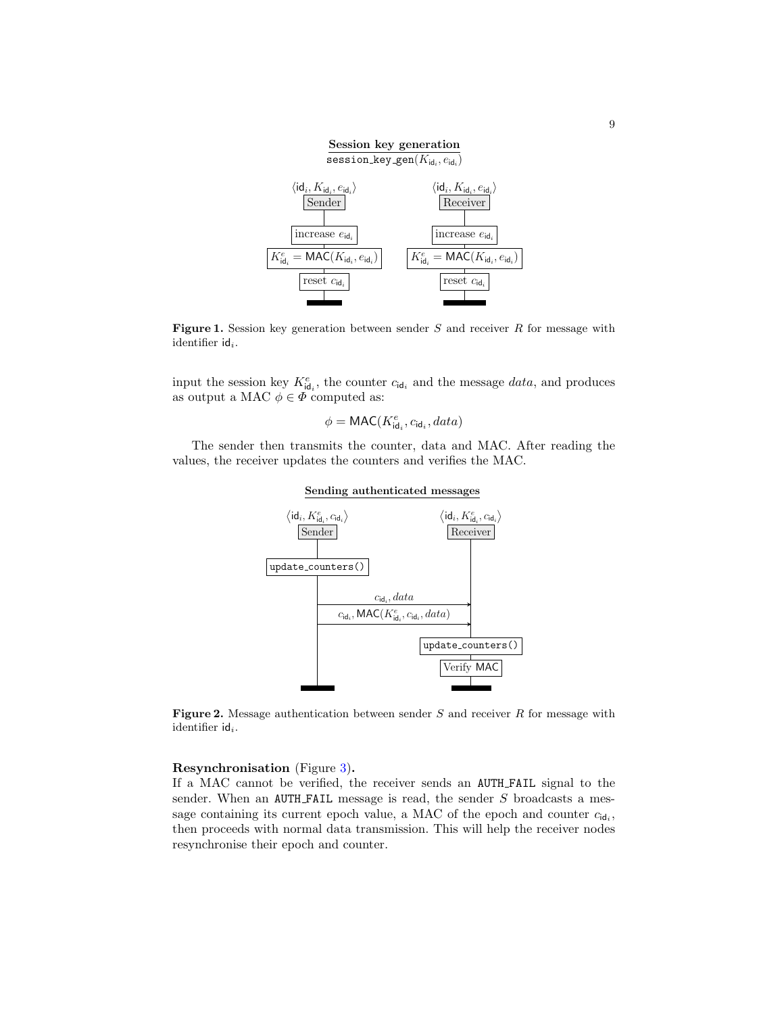

Figure 1. Session key generation between sender  $S$  and receiver  $R$  for message with identifier  $id_i$ .

input the session key  $K_{\mathsf{id}_i}^e$ , the counter  $c_{\mathsf{id}_i}$  and the message  $data$ , and produces as output a MAC  $\phi \in \Phi$  computed as:

<span id="page-9-0"></span>
$$
\phi = \mathsf{MAC}(K^e_{\mathsf{id}_i}, c_{\mathsf{id}_i}, data)
$$

The sender then transmits the counter, data and MAC. After reading the values, the receiver updates the counters and verifies the MAC.

#### <span id="page-9-1"></span>Sending authenticated messages



**Figure 2.** Message authentication between sender S and receiver R for message with identifier  $id_i$ .

#### Resynchronisation (Figure [3\)](#page-10-1).

If a MAC cannot be verified, the receiver sends an AUTH FAIL signal to the sender. When an AUTH\_FAIL message is read, the sender  $S$  broadcasts a message containing its current epoch value, a MAC of the epoch and counter  $c_{\mathsf{id}_i}$ , then proceeds with normal data transmission. This will help the receiver nodes resynchronise their epoch and counter.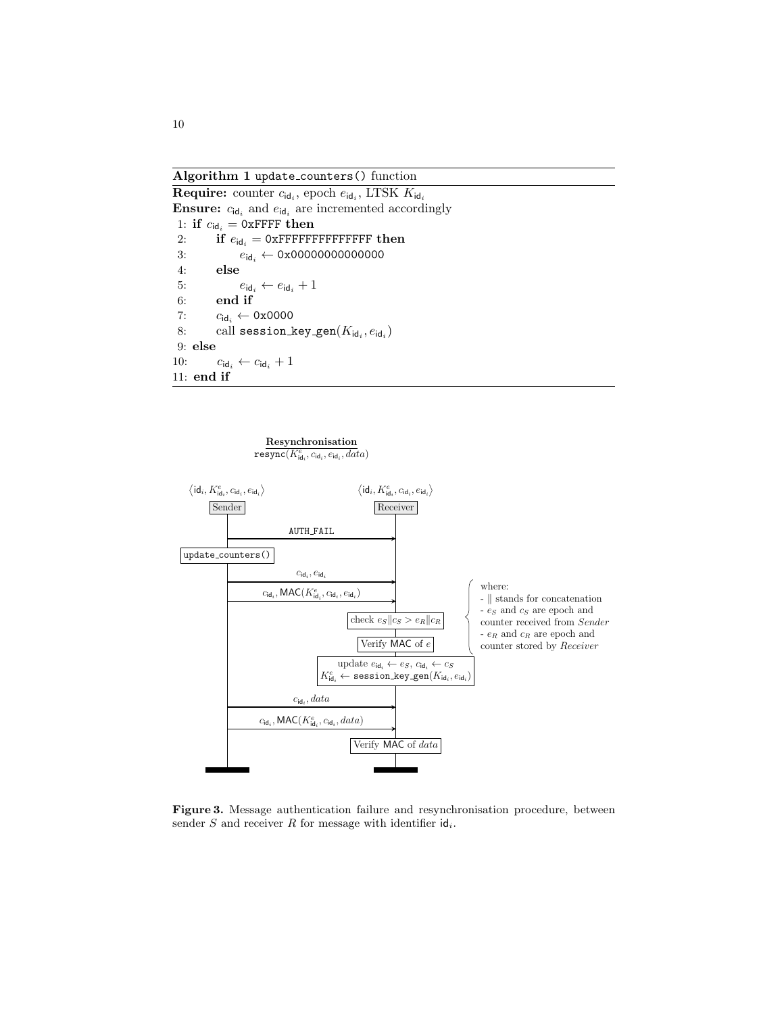Algorithm 1 update counters() function

<span id="page-10-0"></span>**Require:** counter  $c_{\mathsf{id}_i}$ , epoch  $e_{\mathsf{id}_i}$ , LTSK  $K_{\mathsf{id}_i}$ **Ensure:**  $c_{\text{id}_i}$  and  $e_{\text{id}_i}$  are incremented accordingly 1: if  $c_{\text{id}_i} = 0$ xFFFF then<br>2: if  $e_{\text{id}_i} = 0$ xFFFFFF 2: if eid<sup>i</sup> = 0xFFFFFFFFFFFFFF then  $e_{id_i} \leftarrow 0x00000000000000$ 4: else 5:  $e_{id_i} \leftarrow e_{id_i} + 1$ 6: end if 7:  $c_{\mathsf{id}_i} \leftarrow 0 \times 0000$ 8: call session\_key\_gen $(K_{\mathsf{id}_i},e_{\mathsf{id}_i})$ 9: else 10:  $c_{\mathsf{id}_i} \leftarrow c_{\mathsf{id}_i} + 1$ 11: end if



<span id="page-10-1"></span>Figure 3. Message authentication failure and resynchronisation procedure, between sender S and receiver R for message with identifier  $id_i$ .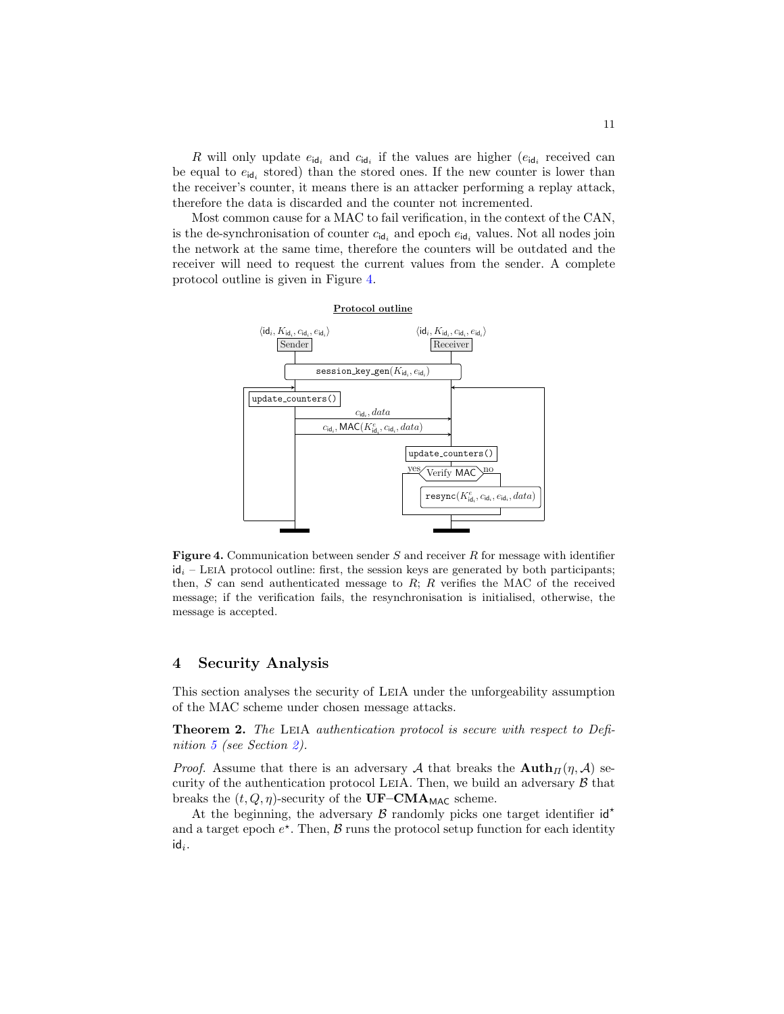R will only update  $e_{id_i}$  and  $c_{id_i}$  if the values are higher  $(e_{id_i})$  received can be equal to  $e_{id_i}$  stored) than the stored ones. If the new counter is lower than the receiver's counter, it means there is an attacker performing a replay attack, therefore the data is discarded and the counter not incremented.

Most common cause for a MAC to fail verification, in the context of the CAN, is the de-synchronisation of counter  $c_{\mathsf{id}_i}$  and epoch  $e_{\mathsf{id}_i}$  values. Not all nodes join the network at the same time, therefore the counters will be outdated and the receiver will need to request the current values from the sender. A complete protocol outline is given in Figure [4.](#page-11-1)



<span id="page-11-1"></span>Figure 4. Communication between sender  $S$  and receiver  $R$  for message with identifier  $id_i$  – LEIA protocol outline: first, the session keys are generated by both participants; then,  $S$  can send authenticated message to  $R$ ;  $R$  verifies the MAC of the received message; if the verification fails, the resynchronisation is initialised, otherwise, the message is accepted.

#### <span id="page-11-0"></span>4 Security Analysis

This section analyses the security of LeiA under the unforgeability assumption of the MAC scheme under chosen message attacks.

Theorem 2. The LeiA authentication protocol is secure with respect to Definition [5](#page-6-0) (see Section [2\)](#page-5-0).

*Proof.* Assume that there is an adversary A that breaks the  $\text{Aut}\mathbf{h}_{\Pi}(\eta,\mathcal{A})$  security of the authentication protocol LEIA. Then, we build an adversary  $\beta$  that breaks the  $(t, Q, \eta)$ -security of the UF–CMA<sub>MAC</sub> scheme.

At the beginning, the adversary  $\beta$  randomly picks one target identifier id<sup>\*</sup> and a target epoch  $e^*$ . Then,  $\beta$  runs the protocol setup function for each identity  $\mathsf{id}_i.$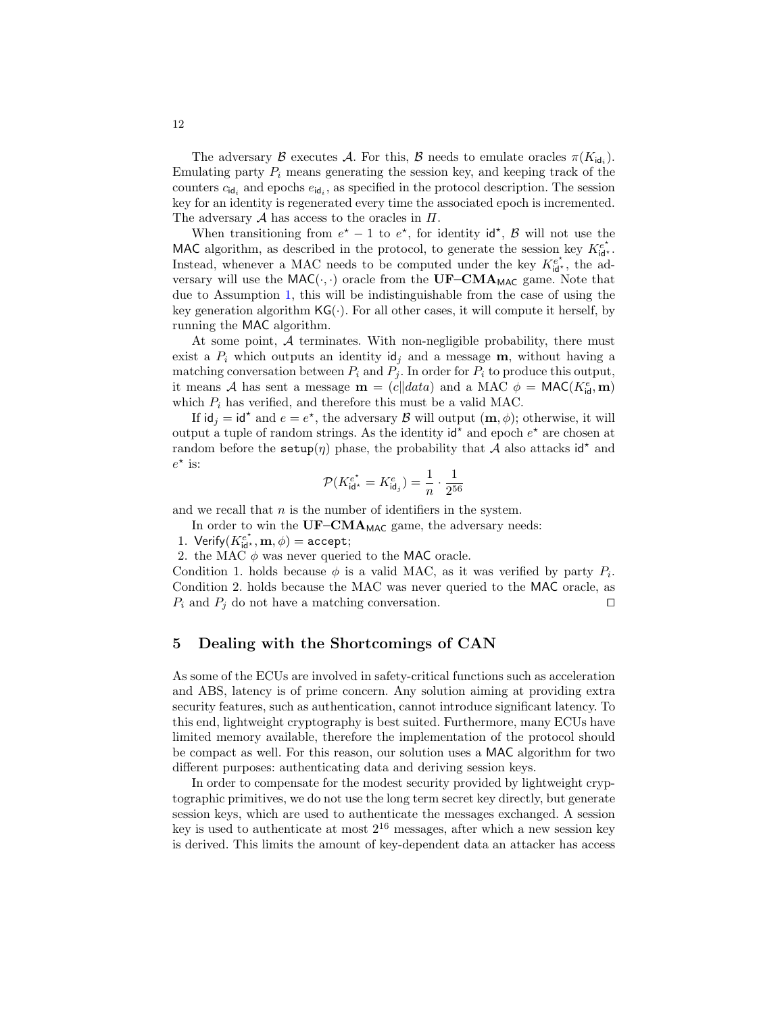The adversary  $\mathcal B$  executes  $\mathcal A$ . For this,  $\mathcal B$  needs to emulate oracles  $\pi(K_{\mathsf{id}_i})$ . Emulating party  $P_i$  means generating the session key, and keeping track of the counters  $c_{\mathsf{id}_i}$  and epochs  $e_{\mathsf{id}_i}$ , as specified in the protocol description. The session key for an identity is regenerated every time the associated epoch is incremented. The adversary  $A$  has access to the oracles in  $\Pi$ .

When transitioning from  $e^* - 1$  to  $e^*$ , for identity  $\mathsf{id}^*$ ,  $\mathcal{B}$  will not use the MAC algorithm, as described in the protocol, to generate the session key  $K_{\mathsf{id}^{\star}}^{\epsilon^{\star}}$ . Instead, whenever a MAC needs to be computed under the key  $K_{\mathsf{id}^*}^{\epsilon^*}$ , the adversary will use the  $MAC(\cdot, \cdot)$  oracle from the  $UF-CMA_{MAC}$  game. Note that due to Assumption [1,](#page-7-1) this will be indistinguishable from the case of using the key generation algorithm  $\mathsf{KG}(\cdot)$ . For all other cases, it will compute it herself, by running the MAC algorithm.

At some point, A terminates. With non-negligible probability, there must exist a  $P_i$  which outputs an identity id<sub>i</sub> and a message **m**, without having a matching conversation between  $P_i$  and  $P_j$ . In order for  $P_i$  to produce this output, it means A has sent a message  $\mathbf{m} = (c||data)$  and a MAC  $\phi = \text{MAC}(K^e_{id}, \mathbf{m})$ which  $P_i$  has verified, and therefore this must be a valid MAC.

If  $\mathrm{id}_j = \mathrm{id}^*$  and  $e = e^*$ , the adversary  $\mathcal B$  will output  $(\mathbf m, \phi)$ ; otherwise, it will output a tuple of random strings. As the identity  $\mathsf{id}^*$  and epoch  $e^*$  are chosen at random before the setup $(\eta)$  phase, the probability that A also attacks id<sup>\*</sup> and  $e^*$  is:

$$
\mathcal{P}(K_{\mathrm{id}^\star}^{e^\star}=K_{\mathrm{id}_j}^e)=\frac{1}{n}\cdot\frac{1}{2^{56}}
$$

and we recall that  $n$  is the number of identifiers in the system.

In order to win the  $UF-CMA_{MAC}$  game, the adversary needs:

- 1. Verify $(K_{\mathsf{id}^*}^{\epsilon^*}, \mathbf{m}, \phi) = \texttt{accept};$
- 2. the MAC  $\phi$  was never queried to the MAC oracle.

Condition 1. holds because  $\phi$  is a valid MAC, as it was verified by party  $P_i$ . Condition 2. holds because the MAC was never queried to the MAC oracle, as  $P_i$  and  $P_j$  do not have a matching conversation.

#### <span id="page-12-0"></span>5 Dealing with the Shortcomings of CAN

As some of the ECUs are involved in safety-critical functions such as acceleration and ABS, latency is of prime concern. Any solution aiming at providing extra security features, such as authentication, cannot introduce significant latency. To this end, lightweight cryptography is best suited. Furthermore, many ECUs have limited memory available, therefore the implementation of the protocol should be compact as well. For this reason, our solution uses a MAC algorithm for two different purposes: authenticating data and deriving session keys.

In order to compensate for the modest security provided by lightweight cryptographic primitives, we do not use the long term secret key directly, but generate session keys, which are used to authenticate the messages exchanged. A session key is used to authenticate at most  $2^{16}$  messages, after which a new session key is derived. This limits the amount of key-dependent data an attacker has access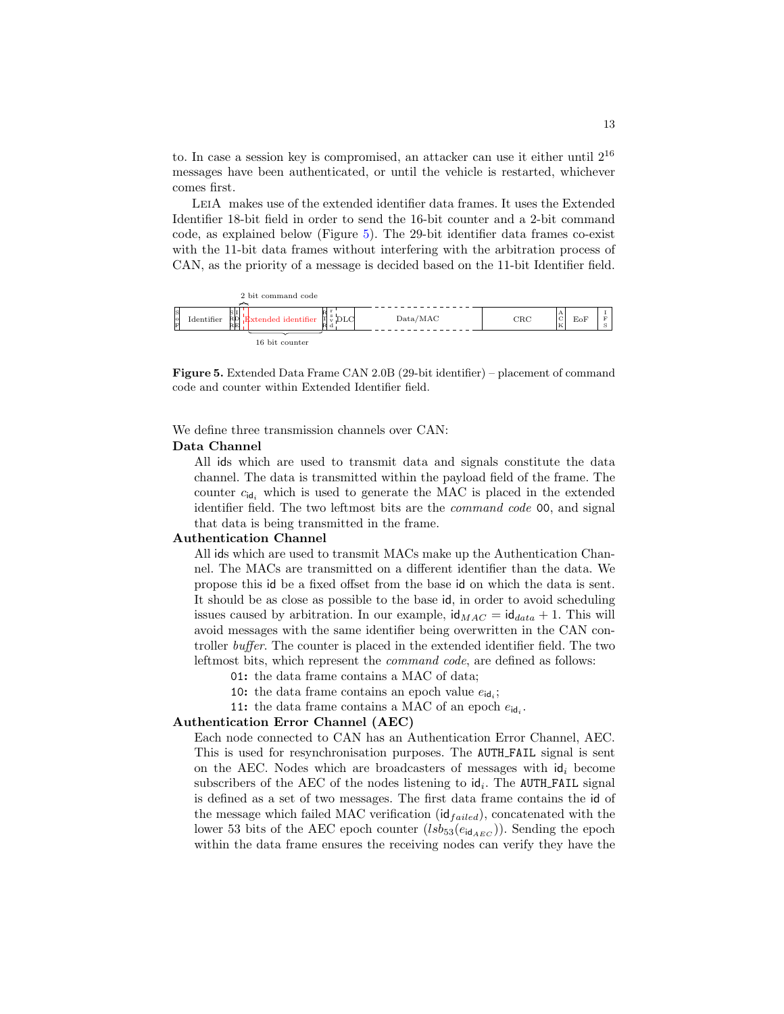to. In case a session key is compromised, an attacker can use it either until 2<sup>16</sup> messages have been authenticated, or until the vehicle is restarted, whichever comes first.

LeiA makes use of the extended identifier data frames. It uses the Extended Identifier 18-bit field in order to send the 16-bit counter and a 2-bit command code, as explained below (Figure [5\)](#page-13-0). The 29-bit identifier data frames co-exist with the 11-bit data frames without interfering with the arbitration process of CAN, as the priority of a message is decided based on the 11-bit Identifier field.



<span id="page-13-0"></span>Figure 5. Extended Data Frame CAN 2.0B (29-bit identifier) – placement of command code and counter within Extended Identifier field.

We define three transmission channels over CAN:

#### Data Channel

All ids which are used to transmit data and signals constitute the data channel. The data is transmitted within the payload field of the frame. The counter  $c_{\mathsf{id}_i}$  which is used to generate the MAC is placed in the extended identifier field. The two leftmost bits are the command code 00, and signal that data is being transmitted in the frame.

#### Authentication Channel

All ids which are used to transmit MACs make up the Authentication Channel. The MACs are transmitted on a different identifier than the data. We propose this id be a fixed offset from the base id on which the data is sent. It should be as close as possible to the base id, in order to avoid scheduling issues caused by arbitration. In our example,  $id_{MAC} = id_{data} + 1$ . This will avoid messages with the same identifier being overwritten in the CAN controller buffer. The counter is placed in the extended identifier field. The two leftmost bits, which represent the command code, are defined as follows:

01: the data frame contains a MAC of data;

- 10: the data frame contains an epoch value  $e_{id_i}$ ;
- 11: the data frame contains a MAC of an epoch  $e_{id_i}$ .

#### Authentication Error Channel (AEC)

Each node connected to CAN has an Authentication Error Channel, AEC. This is used for resynchronisation purposes. The AUTH FAIL signal is sent on the AEC. Nodes which are broadcasters of messages with  $\mathsf{id}_i$  become subscribers of the AEC of the nodes listening to  $\mathsf{id}_i$ . The AUTH\_FAIL signal is defined as a set of two messages. The first data frame contains the id of the message which failed MAC verification  $(\mathsf{id}_{\mathit{failed}})$ , concatenated with the lower 53 bits of the AEC epoch counter  $(lsb_{53}(e_{id_{AEC}}))$ . Sending the epoch within the data frame ensures the receiving nodes can verify they have the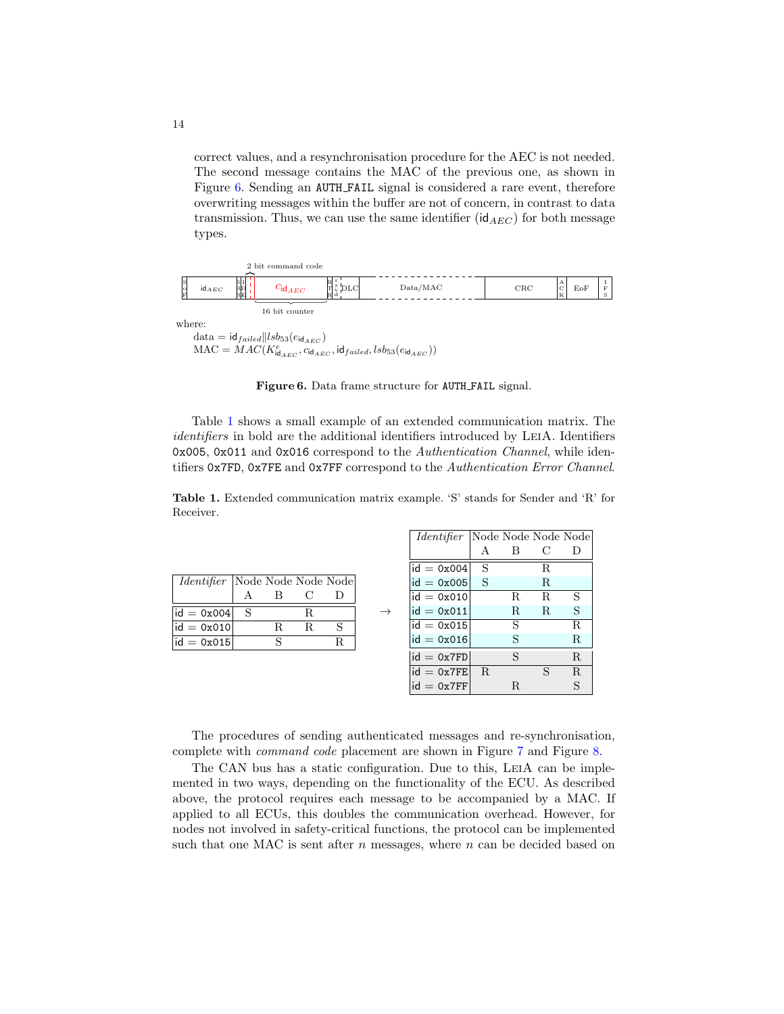correct values, and a resynchronisation procedure for the AEC is not needed. The second message contains the MAC of the previous one, as shown in Figure [6.](#page-14-0) Sending an AUTH FAIL signal is considered a rare event, therefore overwriting messages within the buffer are not of concern, in contrast to data transmission. Thus, we can use the same identifier ( $\mathsf{id}_{AEC}$ ) for both message types.

|            | ∼              | 2 bit command code |                        |          |              |              |     |  |
|------------|----------------|--------------------|------------------------|----------|--------------|--------------|-----|--|
| $id_{AEC}$ | sı<br>RΓ<br>RE | $^4$ EC.           | R<br>-8<br>ï<br>R<br>d | Data/MAC | $_{\rm CRC}$ | A<br>С<br>lΚ | EoF |  |
|            |                | 16 bit counter     |                        |          |              |              |     |  |

where:

data =  $\mathrm{id}_{failed} || lsb_{53}(e_{\mathrm{id}_{AEC}})$  $\text{MAC} = \dot{M} A C (K^e_{\mathsf{id}_{AEC}}, c_{\mathsf{id}_{AEC}}, \mathsf{id}_{failed}, l s b_{53} (e_{\mathsf{id}_{AEC}}))$ 

<span id="page-14-0"></span>Figure 6. Data frame structure for AUTH FAIL signal.

Table [1](#page-14-1) shows a small example of an extended communication matrix. The identifiers in bold are the additional identifiers introduced by LEIA. Identifiers 0x005, 0x011 and 0x016 correspond to the Authentication Channel, while identifiers 0x7FD, 0x7FE and 0x7FF correspond to the Authentication Error Channel.

<span id="page-14-1"></span>Table 1. Extended communication matrix example. 'S' stands for Sender and 'R' for Receiver.

 $\rightarrow$ 

|                                               | <i>Identifier</i>   Node Node Node Node |    |  |  |  |  |
|-----------------------------------------------|-----------------------------------------|----|--|--|--|--|
|                                               |                                         | -R |  |  |  |  |
| $\mathbf{Id} = 0 \times 004$                  | S                                       |    |  |  |  |  |
| $\mathsf{id} = 0 \mathbf{x} 0 1 0 \mathsf{I}$ |                                         |    |  |  |  |  |
| $id = 0x015$                                  |                                         |    |  |  |  |  |

|               | <i>Identifier</i> Node Node Node Node |    |    |   |
|---------------|---------------------------------------|----|----|---|
|               | А                                     | В  | C  | Ð |
| $id = 0x004$  | S                                     |    | R. |   |
| $id = 0x005$  | S                                     |    | R  |   |
| $id = 0x010$  |                                       | R  | R  | S |
| $id = 0x011$  |                                       | R  | R  | S |
| $id = 0x015$  |                                       | S  |    | R |
| $id = 0x016$  |                                       | S  |    | R |
| $id = 0x$ 7FD |                                       | S  |    | R |
| $id = 0x7FE$  | R                                     |    | S  | R |
| $id = 0x7FF$  |                                       | R. |    | S |

The procedures of sending authenticated messages and re-synchronisation, complete with command code placement are shown in Figure [7](#page-15-0) and Figure [8.](#page-15-1)

The CAN bus has a static configuration. Due to this, LEIA can be implemented in two ways, depending on the functionality of the ECU. As described above, the protocol requires each message to be accompanied by a MAC. If applied to all ECUs, this doubles the communication overhead. However, for nodes not involved in safety-critical functions, the protocol can be implemented such that one MAC is sent after  $n$  messages, where  $n$  can be decided based on

14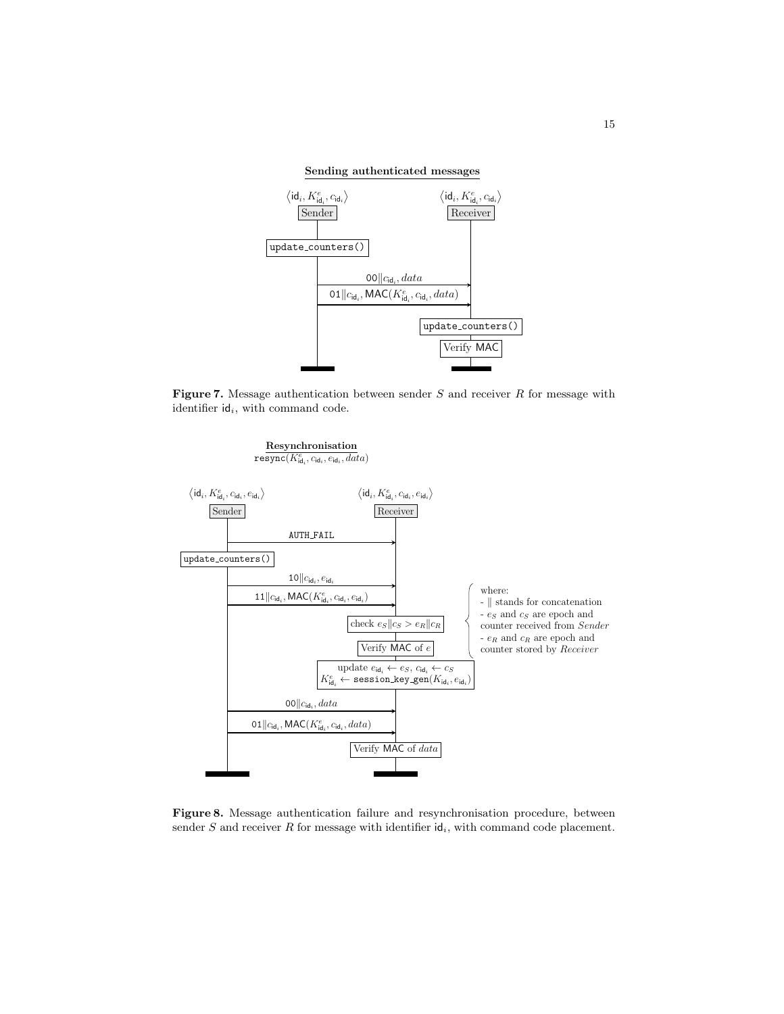#### <span id="page-15-0"></span>Sending authenticated messages



Figure 7. Message authentication between sender  $S$  and receiver  $R$  for message with identifier  $id_i$ , with command code.



<span id="page-15-1"></span>Figure 8. Message authentication failure and resynchronisation procedure, between sender S and receiver R for message with identifier  $\mathbf{id}_i$ , with command code placement.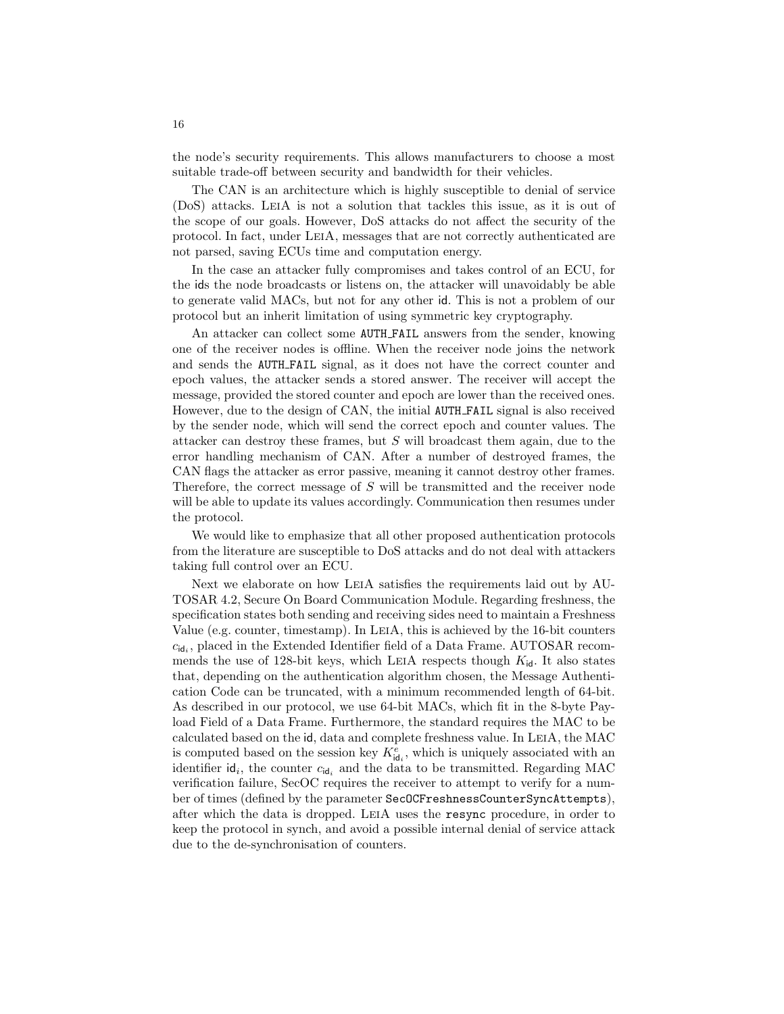the node's security requirements. This allows manufacturers to choose a most suitable trade-off between security and bandwidth for their vehicles.

The CAN is an architecture which is highly susceptible to denial of service (DoS) attacks. LeiA is not a solution that tackles this issue, as it is out of the scope of our goals. However, DoS attacks do not affect the security of the protocol. In fact, under LeiA, messages that are not correctly authenticated are not parsed, saving ECUs time and computation energy.

In the case an attacker fully compromises and takes control of an ECU, for the ids the node broadcasts or listens on, the attacker will unavoidably be able to generate valid MACs, but not for any other id. This is not a problem of our protocol but an inherit limitation of using symmetric key cryptography.

An attacker can collect some AUTH FAIL answers from the sender, knowing one of the receiver nodes is offline. When the receiver node joins the network and sends the AUTH FAIL signal, as it does not have the correct counter and epoch values, the attacker sends a stored answer. The receiver will accept the message, provided the stored counter and epoch are lower than the received ones. However, due to the design of CAN, the initial AUTH FAIL signal is also received by the sender node, which will send the correct epoch and counter values. The attacker can destroy these frames, but  $S$  will broadcast them again, due to the error handling mechanism of CAN. After a number of destroyed frames, the CAN flags the attacker as error passive, meaning it cannot destroy other frames. Therefore, the correct message of S will be transmitted and the receiver node will be able to update its values accordingly. Communication then resumes under the protocol.

We would like to emphasize that all other proposed authentication protocols from the literature are susceptible to DoS attacks and do not deal with attackers taking full control over an ECU.

Next we elaborate on how LeiA satisfies the requirements laid out by AU-TOSAR 4.2, Secure On Board Communication Module. Regarding freshness, the specification states both sending and receiving sides need to maintain a Freshness Value (e.g. counter, timestamp). In LeiA, this is achieved by the 16-bit counters  $c_{\mathsf{id}_i}$ , placed in the Extended Identifier field of a Data Frame. AUTOSAR recommends the use of 128-bit keys, which LEIA respects though  $K_{\text{id}}$ . It also states that, depending on the authentication algorithm chosen, the Message Authentication Code can be truncated, with a minimum recommended length of 64-bit. As described in our protocol, we use 64-bit MACs, which fit in the 8-byte Payload Field of a Data Frame. Furthermore, the standard requires the MAC to be calculated based on the id, data and complete freshness value. In LeiA, the MAC is computed based on the session key  $K_{\mathsf{id}_i}^e$ , which is uniquely associated with an identifier  $id_i$ , the counter  $c_{id_i}$  and the data to be transmitted. Regarding MAC verification failure, SecOC requires the receiver to attempt to verify for a number of times (defined by the parameter SecOCFreshnessCounterSyncAttempts), after which the data is dropped. LeiA uses the resync procedure, in order to keep the protocol in synch, and avoid a possible internal denial of service attack due to the de-synchronisation of counters.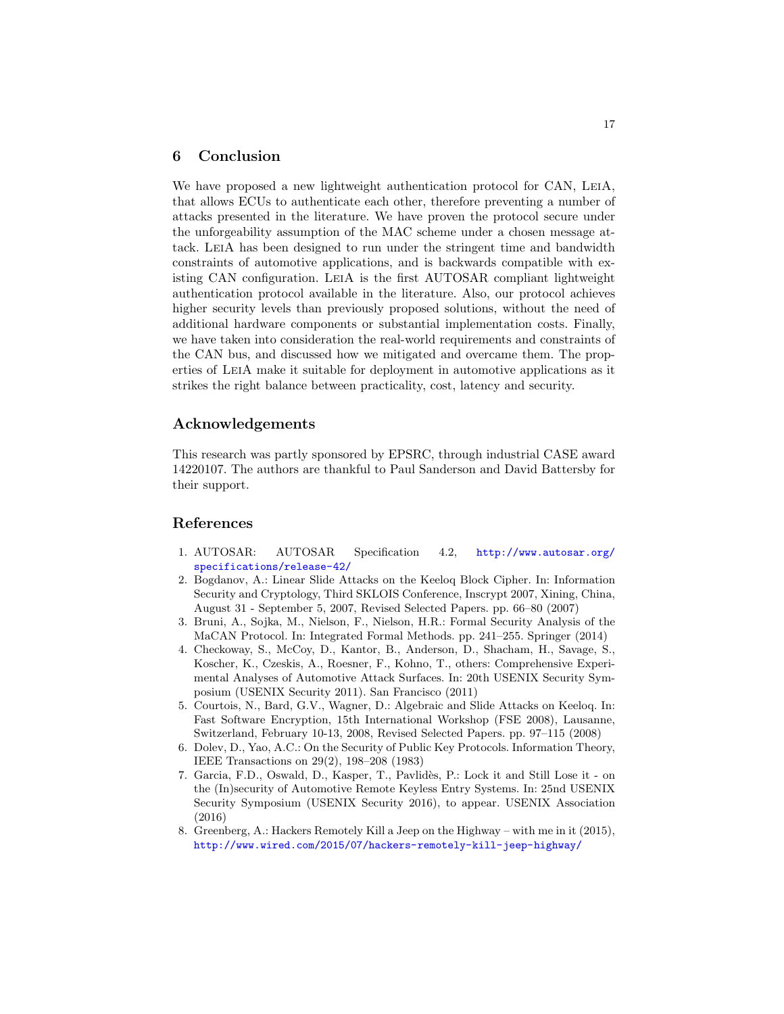#### <span id="page-17-7"></span>6 Conclusion

We have proposed a new lightweight authentication protocol for CAN, LEIA, that allows ECUs to authenticate each other, therefore preventing a number of attacks presented in the literature. We have proven the protocol secure under the unforgeability assumption of the MAC scheme under a chosen message attack. LeiA has been designed to run under the stringent time and bandwidth constraints of automotive applications, and is backwards compatible with existing CAN configuration. LeiA is the first AUTOSAR compliant lightweight authentication protocol available in the literature. Also, our protocol achieves higher security levels than previously proposed solutions, without the need of additional hardware components or substantial implementation costs. Finally, we have taken into consideration the real-world requirements and constraints of the CAN bus, and discussed how we mitigated and overcame them. The properties of LeiA make it suitable for deployment in automotive applications as it strikes the right balance between practicality, cost, latency and security.

#### Acknowledgements

This research was partly sponsored by EPSRC, through industrial CASE award 14220107. The authors are thankful to Paul Sanderson and David Battersby for their support.

#### References

- <span id="page-17-5"></span>1. AUTOSAR: AUTOSAR Specification 4.2, [http://www.autosar.org/](http://www.autosar.org/specifications/release-42/) [specifications/release-42/](http://www.autosar.org/specifications/release-42/)
- <span id="page-17-2"></span>2. Bogdanov, A.: Linear Slide Attacks on the Keeloq Block Cipher. In: Information Security and Cryptology, Third SKLOIS Conference, Inscrypt 2007, Xining, China, August 31 - September 5, 2007, Revised Selected Papers. pp. 66–80 (2007)
- <span id="page-17-6"></span>3. Bruni, A., Sojka, M., Nielson, F., Nielson, H.R.: Formal Security Analysis of the MaCAN Protocol. In: Integrated Formal Methods. pp. 241–255. Springer (2014)
- <span id="page-17-1"></span>4. Checkoway, S., McCoy, D., Kantor, B., Anderson, D., Shacham, H., Savage, S., Koscher, K., Czeskis, A., Roesner, F., Kohno, T., others: Comprehensive Experimental Analyses of Automotive Attack Surfaces. In: 20th USENIX Security Symposium (USENIX Security 2011). San Francisco (2011)
- <span id="page-17-3"></span>5. Courtois, N., Bard, G.V., Wagner, D.: Algebraic and Slide Attacks on Keeloq. In: Fast Software Encryption, 15th International Workshop (FSE 2008), Lausanne, Switzerland, February 10-13, 2008, Revised Selected Papers. pp. 97–115 (2008)
- <span id="page-17-8"></span>6. Dolev, D., Yao, A.C.: On the Security of Public Key Protocols. Information Theory, IEEE Transactions on 29(2), 198–208 (1983)
- <span id="page-17-4"></span>7. Garcia, F.D., Oswald, D., Kasper, T., Pavlidès, P.: Lock it and Still Lose it - on the (In)security of Automotive Remote Keyless Entry Systems. In: 25nd USENIX Security Symposium (USENIX Security 2016), to appear. USENIX Association (2016)
- <span id="page-17-0"></span>8. Greenberg, A.: Hackers Remotely Kill a Jeep on the Highway – with me in it (2015), <http://www.wired.com/2015/07/hackers-remotely-kill-jeep-highway/>